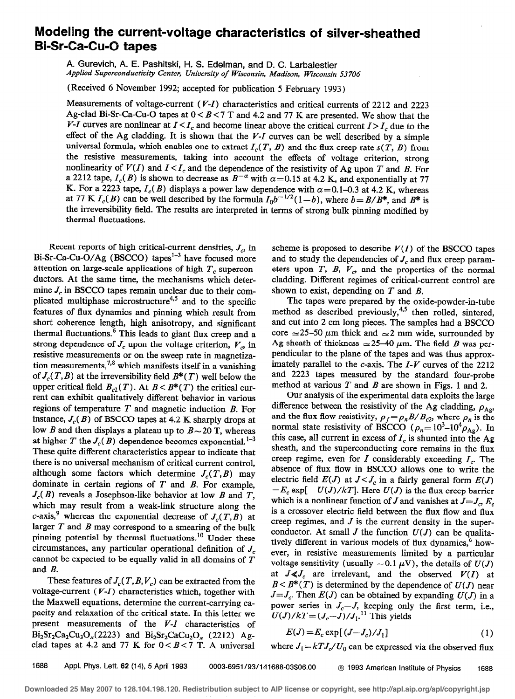## Modeling the current-voltage characteristics of silver-sheathed Bi-Sr-Ca-Cu-0 tapes

A. Gurevich, A. E. Pashitski, H. S. Edelman, and D. C. Larbalestier Applied Superconductivity Center, University of Wisconsin, Madison, Wisconsin 53706

(Received 6 November 1992; accepted for publication 5 February 1993)

Measurements of voltage-current  $(V-I)$  characteristics and critical currents of 2212 and 2223 Ag-clad Bi-Sr-Ca-Cu-O tapes at  $0 < B < 7$  T and 4.2 and 77 K are presented. We show that the V-I curves are nonlinear at  $I \leq I_c$  and become linear above the critical current  $I > I_c$  due to the effect of the Ag cladding. It is shown that the  $V-I$  curves can be well described by a simple universal formula, which enables one to extract  $I_c(T, B)$  and the flux creep rate  $s(T, B)$  from the resistive measurements, taking into account the effects of voltage criterion, strong nonlinearity of  $V(I)$  and  $I < I_c$  and the dependence of the resistivity of Ag upon T and B. For a 2212 tape,  $I_c(B)$  is shown to decrease as  $B^{-\alpha}$  with  $\alpha=0.15$  at 4.2 K, and exponentially at 77 K. For a 2223 tape,  $I_c(B)$  displays a power law dependence with  $\alpha = 0.1 - 0.3$  at 4.2 K, whereas at 77 K  $I_c(B)$  can be well described by the formula  $I_0b^{-1/2}(1-b)$ , where  $b=B/B^*$ , and  $B^*$  is the irreversibility field. The results are interpreted in terms of strong bulk pinning modified by thermal fluctuations.

Recent reports of high critical-current densities,  $J_c$ , in Bi-Sr-Ca-Cu-O/Ag (BSCCO) tapes<sup>1-3</sup> have focused more attention on large-scale applications of high  $T<sub>c</sub>$  superconductors. At the same time, the mechanisms which determine  $J_c$  in BSCCO tapes remain unclear due to their complicated multiphase microstructure<sup>4,5</sup> and to the specific features of flux dynamics and pinning which result from short coherence length, high anisotropy, and significant thermal fluctuations.<sup>6</sup> This leads to giant flux creep and a strong dependence of  $J_c$  upon the voltage criterion,  $V_c$  in resistive measurements or on the sweep rate in magnetization measurements,<sup>7,8</sup> which manifests itself in a vanishing of  $J_c(T, B)$  at the irreversibility field  $B^*(T)$  well below the upper critical field  $B_{c2}(T)$ . At  $B < B^*(T)$  the critical current can exhibit qualitatively different behavior in various regions of temperature  $T$  and magnetic induction  $B$ . For instance,  $J_c(B)$  of BSCCO tapes at 4.2 K sharply drops at low B and then displays a plateau up to  $B \sim 20$  T, whereas at higher T the  $J_c(B)$  dependence becomes exponential.<sup>1-3</sup> These quite different characteristics appear to indicate that there is no universal mechanism of critical current control, although some factors which determine  $J_c(T, B)$  may dominate in certain regions of  $T$  and  $B$ . For example,  $J_c(B)$  reveals a Josephson-like behavior at low B and T, which may result from a weak-link structure along the c-axis,<sup>9</sup> whereas the exponential decrease of  $J_c(T, B)$  at larger  $T$  and  $B$  may correspond to a smearing of the bulk pinning potential by thermal fluctuations.<sup>10</sup> Under these circumstances, any particular operational definition of  $J_c$ cannot be expected to be equally valid in all domains of  $T$ and B.

These features of  $J_c(T, B, V_c)$  can be extracted from the voltage-current  $(V-I)$  characteristics which, together with the Maxwell equations, determine the current-carrying capacity and relaxation of the critical state. In this letter we present measurements of the V-I characteristics of  $Bi_2Sr_2Ca_2Cu_3O_x(2223)$  and  $Bi_2Sr_2CaCu_2O_x(2212)$  Agclad tapes at 4.2 and 77 K for  $0 < B < 7$  T. A universal

scheme is proposed to describe  $V(I)$  of the BSCCO tapes and to study the dependencies of  $J_c$  and flux creep parameters upon  $T$ ,  $B$ ,  $V_c$ , and the properties of the normal cladding. Different regimes of critical-current control are shown to exist, depending on  $T$  and  $B$ .

The tapes were prepared by the oxide-powder-in-tube method as described previously, $4.5$  then rolled, sintered, and cut into 2 cm long pieces. The samples had a BSCCO core  $\approx$  25-50  $\mu$ m thick and  $\approx$  2 mm wide, surrounded by Ag sheath of thickness  $\approx$  25–40  $\mu$ m. The field B was perpendicular to the plane of the tapes and was thus approximately parallel to the  $c$ -axis. The  $I-V$  curves of the 2212 and 2223 tapes measured by the standard four-probe method at various  $T$  and  $B$  are shown in Figs. 1 and 2.

Our analysis of the experimental data exploits the large difference between the resistivity of the Ag cladding,  $\rho_{\rm Ag}$ , and the flux flow resistivity,  $\rho_f = \rho_n B/B_{c2}$ , where  $\rho_n$  is the normal state resistivity of BSCCO ( $\rho_n=10^3-10^4\rho_{Ag}$ ). In this case, all current in excess of  $I_c$  is shunted into the Ag sheath, and the superconducting core remains in the flux creep regime, even for I considerably exceeding  $I_c$ . The absence of flux flow in BSCCO allows one to write the electric field  $E(J)$  at  $J < J_c$  in a fairly general form  $E(J)$  $=E_c \exp[- U(J)/kT]$ . Here  $U(J)$  is the flux creep barrier which is a nonlinear function of J and vanishes at  $J = J_{\alpha} E_{c}$ is a crossover electric field between the flux flow and flux creep regimes, and  $J$  is the current density in the superconductor. At small  $J$  the function  $U(J)$  can be qualitatively different in various models of flux dynamics,<sup>6</sup> however, in resistive measurements limited by a particular voltage sensitivity (usually  $\sim 0.1 \mu V$ ), the details of  $U(J)$ at  $J \ll J_c$  are irrelevant, and the observed  $V(I)$  at  $B < B^*(T)$  is determined by the dependence of  $U(J)$  near  $J=J_c$ . Then  $E(J)$  can be obtained by expanding  $U(J)$  in a power series in  $J_c-J$ , keeping only the first term, i.e.,  $U(J)/kT=(J_c-J)/J_1$ .<sup>11</sup> This yields

$$
E(J) = E_c \exp[(J - J_c)/J_1]
$$
 (1)

where  $J_1 = kTJ_c/U_0$  can be expressed via the observed flux

1688 Appl. Phys. Lett. 62 (14), 5 April 1993 0003-6951/93/141688-03\$06.00 © 1993 American Institute of Physics 1688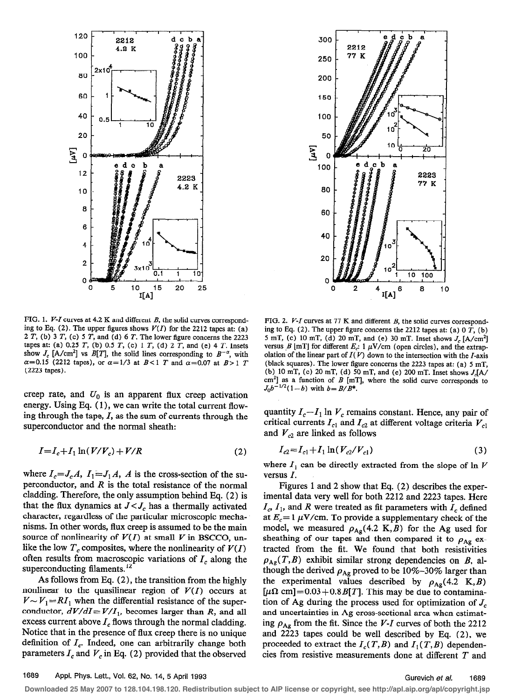



FIG. 1. *V-I* curves at 4.2 K and different *B*, the solid curves corresponding to Eq. (2). The upper figures shows  $V(I)$  for the 2212 tapes at: (a) 2  $T$ , (b) 3  $T$ , (c) 5  $T$ , and (d) 6  $T$ . The lower figure concerns the 2223 tapes at: (a) 0.25  $T$ , (b) 0.5  $T$ , (c) 1  $T$ , (d) 2  $T$ , and (e) 4  $T$ . Insets show  $J_c$  [A/cm<sup>2</sup>] vs  $B[T]$ , the solid lines corresponding to  $B^{-\alpha}$ , with  $\alpha$ =0.15 (2212 tapes), or  $\alpha$ =1/3 at B < 1 T and  $\alpha$ =0.07 at B > 1 T (2223 tapes).

creep rate, and  $U_0$  is an apparent flux creep activation energy. Using Eq. ( 1), we can write the total current flowing through the tape,  $I$ , as the sum of currents through the superconductor and the normal sheath:

$$
I = I_c + I_1 \ln(V/V_c) + V/R
$$
 (2)

where  $I_c = J_c A$ ,  $I_1 = J_1 A$ , A is the cross-section of the superconductor, and  $R$  is the total resistance of the normal cladding. Therefore, the only assumption behind Eq. (2) is that the flux dynamics at  $J < J_c$  has a thermally activated character, regardless of the particular microscopic mechanisms. In other words, flux creep is assumed to be the main source of nonlinearity of  $V(I)$  at small V in BSCCO, unlike the low  $T_c$  composites, where the nonlinearity of  $V(I)$ often results from macroscopic variations of  $I_c$  along the superconducting filaments.<sup>12</sup>

As follows from Eq. (2), the transition from the highly nonlinear to the quasilinear region of  $V(I)$  occurs at  $V \sim V_1 = RI_1$  when the differential resistance of the superconductor,  $dV/dI = V/I_1$ , becomes larger than R, and all excess current above  $I_c$  flows through the normal cladding. Notice that in the presence of flux creep there is no unique definition of  $I_c$ . Indeed, one can arbitrarily change both parameters  $I_c$  and  $V_c$  in Eq. (2) provided that the observed

FIG. 2.  $V-I$  curves at 77 K and different B, the solid curves corresponding to Eq. (2). The upper figure concerns the 2212 tapes at: (a)  $0$   $T$ , (b) 5 mT, (c) 10 mT, (d) 20 mT, and (e) 30 mT. Inset shows  $J_c$  [A/cm<sup>2</sup>] versus  $B$  [mT] for different  $E_c$ : 1  $\mu$ V/cm (open circles), and the extrapolation of the linear part of  $I(V)$  down to the intersection with the I-axis (black squares). The lower figure concerns the 2223 tapes at: (a) 5 mT, (b) 10 mT, (c) 20 mT, (d) 50 mT, and (e) 200 mT. Inset shows  $J_c[A/A]$  $cm<sup>2</sup>$ ] as a function of B [mT], where the solid curve corresponds to  $J_0 b^{-1/2} (1-b)$  with  $b = B/B^*$ .

quantity  $I_c-I_1 \ln V_c$  remains constant. Hence, any pair of critical currents  $I_{c1}$  and  $I_{c2}$  at different voltage criteria  $V_{c1}$ and  $V_{c2}$  are linked as follows

$$
I_{c2} = I_{c1} + I_1 \ln(V_{c2}/V_{c1})
$$
\n(3)

where  $I_1$  can be directly extracted from the slope of ln V versus I.

Figures 1 and 2 show that Eq. (2) describes the experimental data very well for both 2212 and 2223 tapes. Here  $I_c$ ,  $I_1$ , and R were treated as fit parameters with  $I_c$  defined at  $E_c= 1 \mu V/cm$ . To provide a supplementary check of the model, we measured  $\rho_{Ag}(4.2 \text{ K}, B)$  for the Ag used for sheathing of our tapes and then compared it to  $\rho_{\rm Ag}$  extracted from the fit. We found that both resistivities  $\rho_{Ag}(T, B)$  exhibit similar strong dependencies on B, although the derived  $\rho_{\rm Ag}$  proved to be 10%-30% larger than the experimental values described by  $\rho_{Ag}(4.2 \text{ K}, B)$  $[\mu \Omega \text{ cm}] = 0.03 + 0.8 \text{ B}[T]$ . This may be due to contamination of Ag during the process used for optimization of  $J_c$ and uncertainties in Ag cross-sectional area when estimating  $\rho_{Ag}$  from the fit. Since the V-I curves of both the 2212 and 2223 tapes could be well described by Eq. (2), we proceeded to extract the  $I_c(T, B)$  and  $I_1(T, B)$  dependencies from resistive measurements done at different T and

**Downloaded 25 May 2007 to 128.104.198.120. Redistribution subject to AIP license or copyright, see http://apl.aip.org/apl/copyright.jsp**